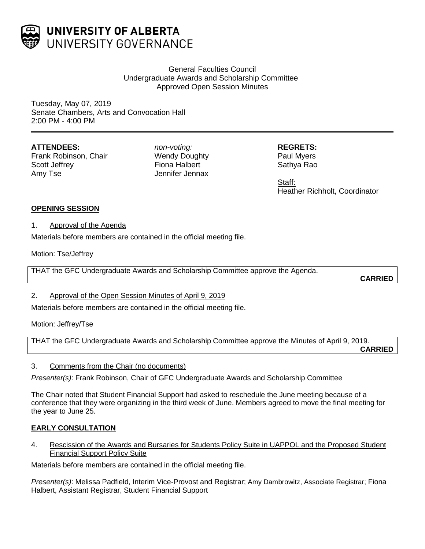

# General Faculties Council Undergraduate Awards and Scholarship Committee Approved Open Session Minutes

Tuesday, May 07, 2019 Senate Chambers, Arts and Convocation Hall 2:00 PM - 4:00 PM

# **ATTENDEES:**

Frank Robinson, Chair Scott Jeffrey Amy Tse

*non-voting:* Wendy Doughty Fiona Halbert Jennifer Jennax

**REGRETS:** Paul Myers Sathya Rao

Staff: Heather Richholt, Coordinator

## **OPENING SESSION**

1. Approval of the Agenda

Materials before members are contained in the official meeting file.

Motion: Tse/Jeffrey

THAT the GFC Undergraduate Awards and Scholarship Committee approve the Agenda.

**CARRIED**

# 2. Approval of the Open Session Minutes of April 9, 2019

Materials before members are contained in the official meeting file.

Motion: Jeffrey/Tse

THAT the GFC Undergraduate Awards and Scholarship Committee approve the Minutes of April 9, 2019. **CARRIED**

## 3. Comments from the Chair (no documents)

*Presenter(s)*: Frank Robinson, Chair of GFC Undergraduate Awards and Scholarship Committee

The Chair noted that Student Financial Support had asked to reschedule the June meeting because of a conference that they were organizing in the third week of June. Members agreed to move the final meeting for the year to June 25.

# **EARLY CONSULTATION**

4. Rescission of the Awards and Bursaries for Students Policy Suite in UAPPOL and the Proposed Student Financial Support Policy Suite

Materials before members are contained in the official meeting file.

*Presenter(s)*: Melissa Padfield, Interim Vice-Provost and Registrar; Amy Dambrowitz, Associate Registrar; Fiona Halbert, Assistant Registrar, Student Financial Support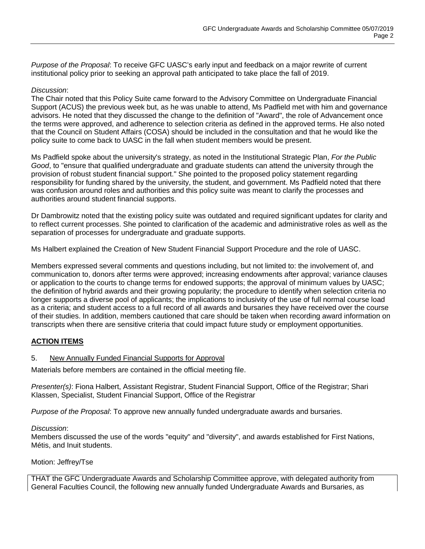*Purpose of the Proposal*: To receive GFC UASC's early input and feedback on a major rewrite of current institutional policy prior to seeking an approval path anticipated to take place the fall of 2019.

#### *Discussion*:

The Chair noted that this Policy Suite came forward to the Advisory Committee on Undergraduate Financial Support (ACUS) the previous week but, as he was unable to attend, Ms Padfield met with him and governance advisors. He noted that they discussed the change to the definition of "Award", the role of Advancement once the terms were approved, and adherence to selection criteria as defined in the approved terms. He also noted that the Council on Student Affairs (COSA) should be included in the consultation and that he would like the policy suite to come back to UASC in the fall when student members would be present.

Ms Padfield spoke about the university's strategy, as noted in the Institutional Strategic Plan, *For the Public Good*, to "ensure that qualified undergraduate and graduate students can attend the university through the provision of robust student financial support." She pointed to the proposed policy statement regarding responsibility for funding shared by the university, the student, and government. Ms Padfield noted that there was confusion around roles and authorities and this policy suite was meant to clarify the processes and authorities around student financial supports.

Dr Dambrowitz noted that the existing policy suite was outdated and required significant updates for clarity and to reflect current processes. She pointed to clarification of the academic and administrative roles as well as the separation of processes for undergraduate and graduate supports.

Ms Halbert explained the Creation of New Student Financial Support Procedure and the role of UASC.

Members expressed several comments and questions including, but not limited to: the involvement of, and communication to, donors after terms were approved; increasing endowments after approval; variance clauses or application to the courts to change terms for endowed supports; the approval of minimum values by UASC; the definition of hybrid awards and their growing popularity; the procedure to identify when selection criteria no longer supports a diverse pool of applicants; the implications to inclusivity of the use of full normal course load as a criteria; and student access to a full record of all awards and bursaries they have received over the course of their studies. In addition, members cautioned that care should be taken when recording award information on transcripts when there are sensitive criteria that could impact future study or employment opportunities.

# **ACTION ITEMS**

## 5. New Annually Funded Financial Supports for Approval

Materials before members are contained in the official meeting file.

*Presenter(s)*: Fiona Halbert, Assistant Registrar, Student Financial Support, Office of the Registrar; Shari Klassen, Specialist, Student Financial Support, Office of the Registrar

*Purpose of the Proposal*: To approve new annually funded undergraduate awards and bursaries.

#### *Discussion*:

Members discussed the use of the words "equity" and "diversity", and awards established for First Nations, Métis, and Inuit students.

Motion: Jeffrey/Tse

THAT the GFC Undergraduate Awards and Scholarship Committee approve, with delegated authority from General Faculties Council, the following new annually funded Undergraduate Awards and Bursaries, as